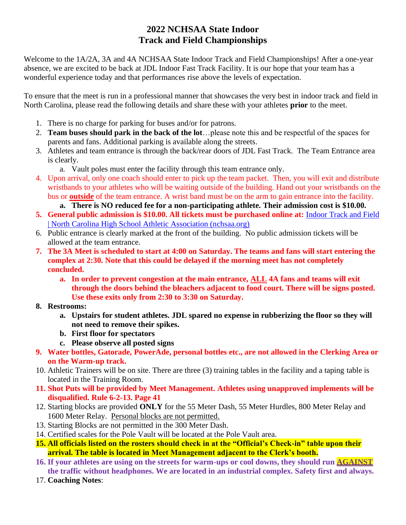# **2022 NCHSAA State Indoor Track and Field Championships**

Welcome to the 1A/2A, 3A and 4A NCHSAA State Indoor Track and Field Championships! After a one-year absence, we are excited to be back at JDL Indoor Fast Track Facility. It is our hope that your team has a wonderful experience today and that performances rise above the levels of expectation.

To ensure that the meet is run in a professional manner that showcases the very best in indoor track and field in North Carolina, please read the following details and share these with your athletes **prior** to the meet.

- 1. There is no charge for parking for buses and/or for patrons.
- 2. **Team buses should park in the back of the lot**…please note this and be respectful of the spaces for parents and fans. Additional parking is available along the streets.
- 3. Athletes and team entrance is through the back/rear doors of JDL Fast Track. The Team Entrance area is clearly.
	- a. Vault poles must enter the facility through this team entrance only.
- 4. Upon arrival, only one coach should enter to pick up the team packet. Then, you will exit and distribute wristbands to your athletes who will be waiting outside of the building. Hand out your wristbands on the bus or **outside** of the team entrance. A wrist band must be on the arm to gain entrance into the facility.
	- **a. There is NO reduced fee for a non-participating athlete. Their admission cost is \$10.00.**
- **5. General public admission is \$10.00. All tickets must be purchased online at:** [Indoor Track and Field](https://www.nchsaa.org/sports/indoor-track-and-field)  [| North Carolina High School Athletic Association \(nchsaa.org\)](https://www.nchsaa.org/sports/indoor-track-and-field)
- 6. Public entrance is clearly marked at the front of the building. No public admission tickets will be allowed at the team entrance.
- **7. The 3A Meet is scheduled to start at 4:00 on Saturday. The teams and fans will start entering the complex at 2:30. Note that this could be delayed if the morning meet has not completely concluded.** 
	- **a. In order to prevent congestion at the main entrance, ALL 4A fans and teams will exit through the doors behind the bleachers adjacent to food court. There will be signs posted. Use these exits only from 2:30 to 3:30 on Saturday.**
- **8. Restrooms:**
	- **a. Upstairs for student athletes. JDL spared no expense in rubberizing the floor so they will not need to remove their spikes.**
	- **b. First floor for spectators**
	- **c. Please observe all posted signs**
- **9. Water bottles, Gatorade, PowerAde, personal bottles etc., are not allowed in the Clerking Area or on the Warm-up track.**
- 10. Athletic Trainers will be on site. There are three (3) training tables in the facility and a taping table is located in the Training Room.
- **11. Shot Puts will be provided by Meet Management. Athletes using unapproved implements will be disqualified. Rule 6-2-13. Page 41**
- 12. Starting blocks are provided **ONLY** for the 55 Meter Dash, 55 Meter Hurdles, 800 Meter Relay and 1600 Meter Relay. Personal blocks are not permitted.
- 13. Starting Blocks are not permitted in the 300 Meter Dash.
- 14. Certified scales for the Pole Vault will be located at the Pole Vault area.
- **15. All officials listed on the rosters should check in at the "Official's Check-in" table upon their arrival. The table is located in Meet Management adjacent to the Clerk's booth.**
- **16. If your athletes are using on the streets for warm-ups or cool downs, they should run AGAINST the traffic without headphones. We are located in an industrial complex. Safety first and always.**
- 17. **Coaching Notes**: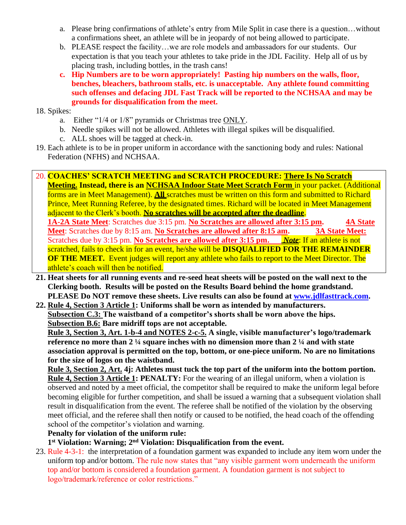- a. Please bring confirmations of athlete's entry from Mile Split in case there is a question…without a confirmations sheet, an athlete will be in jeopardy of not being allowed to participate.
- b. PLEASE respect the facility…we are role models and ambassadors for our students. Our expectation is that you teach your athletes to take pride in the JDL Facility. Help all of us by placing trash, including bottles, in the trash cans!
- **c. Hip Numbers are to be worn appropriately! Pasting hip numbers on the walls, floor, benches, bleachers, bathroom stalls, etc. is unacceptable. Any athlete found committing such offenses and defacing JDL Fast Track will be reported to the NCHSAA and may be grounds for disqualification from the meet.**
- 18. Spikes:
	- a. Either "1/4 or 1/8" pyramids or Christmas tree ONLY.
	- b. Needle spikes will not be allowed. Athletes with illegal spikes will be disqualified.
	- c. ALL shoes will be tagged at check-in.
- 19. Each athlete is to be in proper uniform in accordance with the sanctioning body and rules: National Federation (NFHS) and NCHSAA.

20. **COACHES' SCRATCH MEETING and SCRATCH PROCEDURE: There Is No Scratch Meeting. Instead, there is an NCHSAA Indoor State Meet Scratch Form** in your packet. (Additional forms are in Meet Management). **All** scratches must be written on this form and submitted to Richard Prince, Meet Running Referee, by the designated times. Richard will be located in Meet Management adjacent to the Clerk's booth. **No scratches will be accepted after the deadline**. **1A-2A State Meet**: Scratches due 3:15 pm. **No Scratches are allowed after 3:15 pm. 4A State** 

Meet: Scratches due by 8:15 am. No Scratches are allowed after 8:15 am. 3A State Meet: Scratches due by 3:15 pm. **No Scratches are allowed after 3:15 pm.** *Note*: If an athlete is not scratched, fails to check in for an event, he/she will be **DISQUALIFIED FOR THE REMAINDER OF THE MEET.** Event judges will report any athlete who fails to report to the Meet Director. The athlete's coach will then be notified.

- **21. Heat sheets for all running events and re-seed heat sheets will be posted on the wall next to the Clerking booth. Results will be posted on the Results Board behind the home grandstand. PLEASE Do NOT remove these sheets. Live results can also be found a[t www.jdlfasttrack.com.](http://www.jdlfasttrack.com/)**
- **22. Rule 4, Section 3 Article 1: Uniforms shall be worn as intended by manufacturers. Subsection C.3: The waistband of a competitor's shorts shall be worn above the hips. Subsection B.6: Bare midriff tops are not acceptable.**

**Rule 3, Section 3, Art. 1-b-4 and NOTES 2-c-5. A single, visible manufacturer's logo/trademark reference no more than 2 ¼ square inches with no dimension more than 2 ¼ and with state association approval is permitted on the top, bottom, or one-piece uniform. No are no limitations for the size of logos on the waistband.**

**Rule 3, Section 2, Art. 4j: Athletes must tuck the top part of the uniform into the bottom portion. Rule 4, Section 3 Article 1: PENALTY:** For the wearing of an illegal uniform, when a violation is observed and noted by a meet official, the competitor shall be required to make the uniform legal before becoming eligible for further competition, and shall be issued a warning that a subsequent violation shall result in disqualification from the event. The referee shall be notified of the violation by the observing meet official, and the referee shall then notify or caused to be notified, the head coach of the offending school of the competitor's violation and warning.

### **Penalty for violation of the uniform rule:**

**1 st Violation: Warning; 2 nd Violation: Disqualification from the event.**

23. Rule 4-3-1: the interpretation of a foundation garment was expanded to include any item worn under the uniform top and/or bottom. The rule now states that "any visible garment worn underneath the uniform top and/or bottom is considered a foundation garment. A foundation garment is not subject to logo/trademark/reference or color restrictions."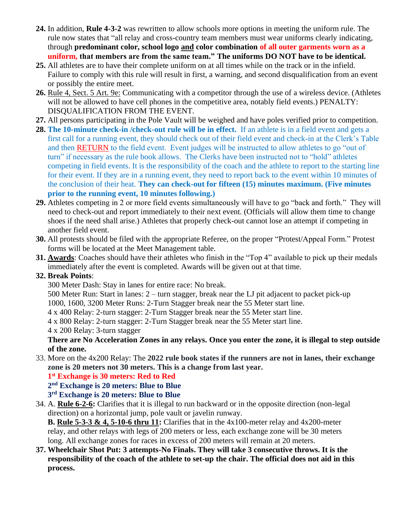- **24.** In addition, **Rule 4-3-2** was rewritten to allow schools more options in meeting the uniform rule. The rule now states that "all relay and cross-country team members must wear uniforms clearly indicating, through **predominant color, school logo and color combination of all outer garments worn as a uniform, that members are from the same team." The uniforms DO NOT have to be identical.**
- **25.** All athletes are to have their complete uniform on at all times while on the track or in the infield. Failure to comply with this rule will result in first, a warning, and second disqualification from an event or possibly the entire meet.
- **26.** Rule 4, Sect. 5 Art. 9e: Communicating with a competitor through the use of a wireless device. (Athletes will not be allowed to have cell phones in the competitive area, notably field events.) PENALTY: DISQUALIFICATION FROM THE EVENT.
- **27.** All persons participating in the Pole Vault will be weighed and have poles verified prior to competition.
- **28. The 10-minute check-in /check-out rule will be in effect.** If an athlete is in a field event and gets a first call for a running event, they should check out of their field event and check-in at the Clerk's Table and then RETURN to the field event. Event judges will be instructed to allow athletes to go "out of turn" if necessary as the rule book allows. The Clerks have been instructed not to "hold" athletes competing in field events. It is the responsibility of the coach and the athlete to report to the starting line for their event. If they are in a running event, they need to report back to the event within 10 minutes of the conclusion of their heat. **They can check-out for fifteen (15) minutes maximum. (Five minutes prior to the running event, 10 minutes following.)**
- **29.** Athletes competing in 2 or more field events simultaneously will have to go "back and forth." They will need to check-out and report immediately to their next event. (Officials will allow them time to change shoes if the need shall arise.) Athletes that properly check-out cannot lose an attempt if competing in another field event.
- **30.** All protests should be filed with the appropriate Referee, on the proper "Protest/Appeal Form." Protest forms will be located at the Meet Management table.
- **31. Awards**: Coaches should have their athletes who finish in the "Top 4" available to pick up their medals immediately after the event is completed. Awards will be given out at that time.

## **32. Break Points**:

300 Meter Dash: Stay in lanes for entire race: No break.

500 Meter Run: Start in lanes: 2 – turn stagger, break near the LJ pit adjacent to packet pick-up

1000, 1600, 3200 Meter Runs: 2-Turn Stagger break near the 55 Meter start line.

4 x 400 Relay: 2-turn stagger: 2-Turn Stagger break near the 55 Meter start line.

4 x 800 Relay: 2-turn stagger: 2-Turn Stagger break near the 55 Meter start line.

4 x 200 Relay: 3-turn stagger

**There are No Acceleration Zones in any relays. Once you enter the zone, it is illegal to step outside of the zone.** 

33. More on the 4x200 Relay: The **2022 rule book states if the runners are not in lanes, their exchange zone is 20 meters not 30 meters. This is a change from last year.**

**1 st Exchange is 30 meters: Red to Red**

**2 nd Exchange is 20 meters: Blue to Blue**

**3 rd Exchange is 20 meters: Blue to Blue**

34. A. **Rule 6-2-6:** Clarifies that it is illegal to run backward or in the opposite direction (non-legal direction) on a horizontal jump, pole vault or javelin runway.

**B. Rule 5-3-3 & 4, 5-10-6 thru 11:** Clarifies that in the 4x100-meter relay and 4x200-meter relay, and other relays with legs of 200 meters or less, each exchange zone will be 30 meters long. All exchange zones for races in excess of 200 meters will remain at 20 meters.

**37. Wheelchair Shot Put: 3 attempts-No Finals. They will take 3 consecutive throws. It is the responsibility of the coach of the athlete to set-up the chair. The official does not aid in this process.**